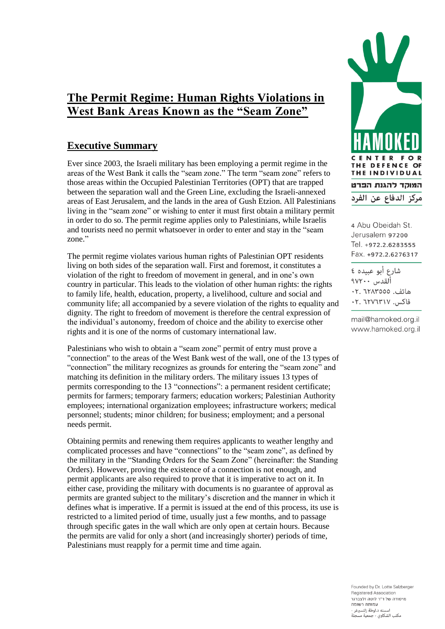# **The Permit Regime: Human Rights Violations in West Bank Areas Known as the "Seam Zone"**

## **Executive Summary**

Ever since 2003, the Israeli military has been employing a permit regime in the areas of the West Bank it calls the "seam zone." The term "seam zone" refers to those areas within the Occupied Palestinian Territories (OPT) that are trapped between the separation wall and the Green Line, excluding the Israeli-annexed areas of East Jerusalem, and the lands in the area of Gush Etzion. All Palestinians living in the "seam zone" or wishing to enter it must first obtain a military permit in order to do so. The permit regime applies only to Palestinians, while Israelis and tourists need no permit whatsoever in order to enter and stay in the "seam zone."

The permit regime violates various human rights of Palestinian OPT residents living on both sides of the separation wall. First and foremost, it constitutes a violation of the right to freedom of movement in general, and in one's own country in particular. This leads to the violation of other human rights: the rights to family life, health, education, property, a livelihood, culture and social and community life; all accompanied by a severe violation of the rights to equality and dignity. The right to freedom of movement is therefore the central expression of the individual's autonomy, freedom of choice and the ability to exercise other rights and it is one of the norms of customary international law.

Palestinians who wish to obtain a "seam zone" permit of entry must prove a "connection" to the areas of the West Bank west of the wall, one of the 13 types of "connection" the military recognizes as grounds for entering the "seam zone" and matching its definition in the military orders. The military issues 13 types of permits corresponding to the 13 "connections": a permanent resident certificate; permits for farmers; temporary farmers; education workers; Palestinian Authority employees; international organization employees; infrastructure workers; medical personnel; students; minor children; for business; employment; and a personal needs permit.

Obtaining permits and renewing them requires applicants to weather lengthy and complicated processes and have "connections" to the "seam zone", as defined by the military in the "Standing Orders for the Seam Zone" (hereinafter: the Standing Orders). However, proving the existence of a connection is not enough, and permit applicants are also required to prove that it is imperative to act on it. In either case, providing the military with documents is no guarantee of approval as permits are granted subject to the military's discretion and the manner in which it defines what is imperative. If a permit is issued at the end of this process, its use is restricted to a limited period of time, usually just a few months, and to passage through specific gates in the wall which are only open at certain hours. Because the permits are valid for only a short (and increasingly shorter) periods of time, Palestinians must reapply for a permit time and time again.



4 Abu Obeidah St. Jerusalem 97200 Tel. +972.2.6283555 Fax. +972.2.6276317

شارع أبو عبيده ٤ القدس ١٧٢٠٠ هاتف. ٦٢٨٣٥٥٥: ٠٢ فاكس. ٢٠٧٦٣١٧. ٢٠

mail@hamoked.org.il www.hamoked.org.il

Founded by Dr. Lotte Salzberger Registered Association מיסודה של ד"ר לוטה זלצברגר עמותה רשומה لته د.لوطة زلتسبرغر مكتب الشكاوي - جمعية مسحلة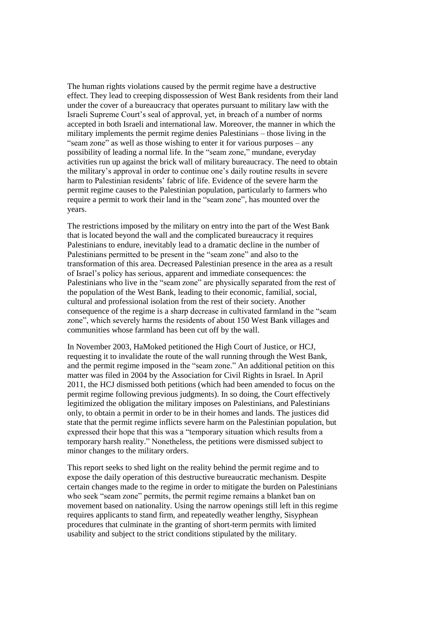The human rights violations caused by the permit regime have a destructive effect. They lead to creeping dispossession of West Bank residents from their land under the cover of a bureaucracy that operates pursuant to military law with the Israeli Supreme Court's seal of approval, yet, in breach of a number of norms accepted in both Israeli and international law. Moreover, the manner in which the military implements the permit regime denies Palestinians – those living in the "seam zone" as well as those wishing to enter it for various purposes – any possibility of leading a normal life. In the "seam zone," mundane, everyday activities run up against the brick wall of military bureaucracy. The need to obtain the military's approval in order to continue one's daily routine results in severe harm to Palestinian residents' fabric of life. Evidence of the severe harm the permit regime causes to the Palestinian population, particularly to farmers who require a permit to work their land in the "seam zone", has mounted over the years.

The restrictions imposed by the military on entry into the part of the West Bank that is located beyond the wall and the complicated bureaucracy it requires Palestinians to endure, inevitably lead to a dramatic decline in the number of Palestinians permitted to be present in the "seam zone" and also to the transformation of this area. Decreased Palestinian presence in the area as a result of Israel's policy has serious, apparent and immediate consequences: the Palestinians who live in the "seam zone" are physically separated from the rest of the population of the West Bank, leading to their economic, familial, social, cultural and professional isolation from the rest of their society. Another consequence of the regime is a sharp decrease in cultivated farmland in the "seam zone", which severely harms the residents of about 150 West Bank villages and communities whose farmland has been cut off by the wall.

In November 2003, HaMoked petitioned the High Court of Justice, or HCJ, requesting it to invalidate the route of the wall running through the West Bank, and the permit regime imposed in the "seam zone." An additional petition on this matter was filed in 2004 by the Association for Civil Rights in Israel. In April 2011, the HCJ dismissed both petitions (which had been amended to focus on the permit regime following previous judgments). In so doing, the Court effectively legitimized the obligation the military imposes on Palestinians, and Palestinians only, to obtain a permit in order to be in their homes and lands. The justices did state that the permit regime inflicts severe harm on the Palestinian population, but expressed their hope that this was a "temporary situation which results from a temporary harsh reality." Nonetheless, the petitions were dismissed subject to minor changes to the military orders.

This report seeks to shed light on the reality behind the permit regime and to expose the daily operation of this destructive bureaucratic mechanism. Despite certain changes made to the regime in order to mitigate the burden on Palestinians who seek "seam zone" permits, the permit regime remains a blanket ban on movement based on nationality. Using the narrow openings still left in this regime requires applicants to stand firm, and repeatedly weather lengthy, Sisyphean procedures that culminate in the granting of short-term permits with limited usability and subject to the strict conditions stipulated by the military.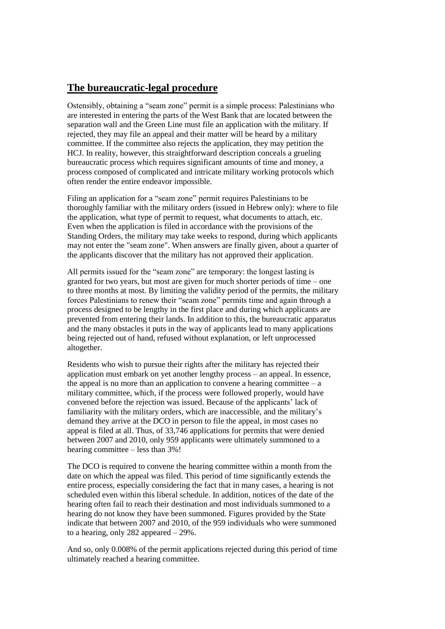### **The bureaucratic-legal procedure**

Ostensibly, obtaining a "seam zone" permit is a simple process: Palestinians who are interested in entering the parts of the West Bank that are located between the separation wall and the Green Line must file an application with the military. If rejected, they may file an appeal and their matter will be heard by a military committee. If the committee also rejects the application, they may petition the HCJ. In reality, however, this straightforward description conceals a grueling bureaucratic process which requires significant amounts of time and money, a process composed of complicated and intricate military working protocols which often render the entire endeavor impossible.

Filing an application for a "seam zone" permit requires Palestinians to be thoroughly familiar with the military orders (issued in Hebrew only): where to file the application, what type of permit to request, what documents to attach, etc. Even when the application is filed in accordance with the provisions of the Standing Orders, the military may take weeks to respond, during which applicants may not enter the "seam zone". When answers are finally given, about a quarter of the applicants discover that the military has not approved their application.

All permits issued for the "seam zone" are temporary: the longest lasting is granted for two years, but most are given for much shorter periods of time – one to three months at most. By limiting the validity period of the permits, the military forces Palestinians to renew their "seam zone" permits time and again through a process designed to be lengthy in the first place and during which applicants are prevented from entering their lands. In addition to this, the bureaucratic apparatus and the many obstacles it puts in the way of applicants lead to many applications being rejected out of hand, refused without explanation, or left unprocessed altogether.

Residents who wish to pursue their rights after the military has rejected their application must embark on yet another lengthy process – an appeal. In essence, the appeal is no more than an application to convene a hearing committee  $-a$ military committee, which, if the process were followed properly, would have convened before the rejection was issued. Because of the applicants' lack of familiarity with the military orders, which are inaccessible, and the military's demand they arrive at the DCO in person to file the appeal, in most cases no appeal is filed at all. Thus, of 33,746 applications for permits that were denied between 2007 and 2010, only 959 applicants were ultimately summoned to a hearing committee – less than 3%!

The DCO is required to convene the hearing committee within a month from the date on which the appeal was filed. This period of time significantly extends the entire process, especially considering the fact that in many cases, a hearing is not scheduled even within this liberal schedule. In addition, notices of the date of the hearing often fail to reach their destination and most individuals summoned to a hearing do not know they have been summoned. Figures provided by the State indicate that between 2007 and 2010, of the 959 individuals who were summoned to a hearing, only 282 appeared – 29%.

And so, only 0.008% of the permit applications rejected during this period of time ultimately reached a hearing committee.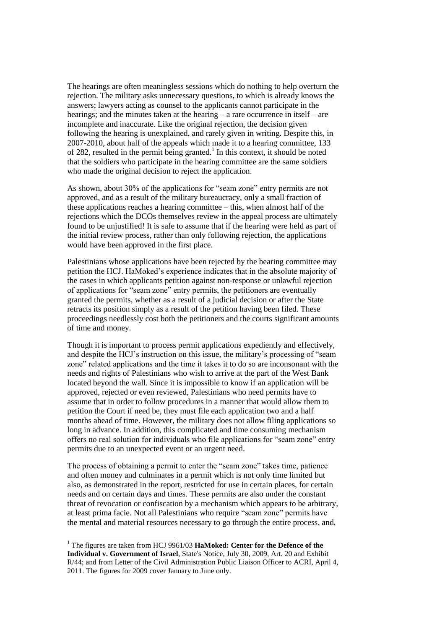The hearings are often meaningless sessions which do nothing to help overturn the rejection. The military asks unnecessary questions, to which is already knows the answers; lawyers acting as counsel to the applicants cannot participate in the hearings; and the minutes taken at the hearing – a rare occurrence in itself – are incomplete and inaccurate. Like the original rejection, the decision given following the hearing is unexplained, and rarely given in writing. Despite this, in 2007-2010, about half of the appeals which made it to a hearing committee, 133 of 282, resulted in the permit being granted.<sup>1</sup> In this context, it should be noted that the soldiers who participate in the hearing committee are the same soldiers who made the original decision to reject the application.

As shown, about 30% of the applications for "seam zone" entry permits are not approved, and as a result of the military bureaucracy, only a small fraction of these applications reaches a hearing committee – this, when almost half of the rejections which the DCOs themselves review in the appeal process are ultimately found to be unjustified! It is safe to assume that if the hearing were held as part of the initial review process, rather than only following rejection, the applications would have been approved in the first place.

Palestinians whose applications have been rejected by the hearing committee may petition the HCJ. HaMoked's experience indicates that in the absolute majority of the cases in which applicants petition against non-response or unlawful rejection of applications for "seam zone" entry permits, the petitioners are eventually granted the permits, whether as a result of a judicial decision or after the State retracts its position simply as a result of the petition having been filed. These proceedings needlessly cost both the petitioners and the courts significant amounts of time and money.

Though it is important to process permit applications expediently and effectively, and despite the HCJ's instruction on this issue, the military's processing of "seam zone" related applications and the time it takes it to do so are inconsonant with the needs and rights of Palestinians who wish to arrive at the part of the West Bank located beyond the wall. Since it is impossible to know if an application will be approved, rejected or even reviewed, Palestinians who need permits have to assume that in order to follow procedures in a manner that would allow them to petition the Court if need be, they must file each application two and a half months ahead of time. However, the military does not allow filing applications so long in advance. In addition, this complicated and time consuming mechanism offers no real solution for individuals who file applications for "seam zone" entry permits due to an unexpected event or an urgent need.

The process of obtaining a permit to enter the "seam zone" takes time, patience and often money and culminates in a permit which is not only time limited but also, as demonstrated in the report, restricted for use in certain places, for certain needs and on certain days and times. These permits are also under the constant threat of revocation or confiscation by a mechanism which appears to be arbitrary, at least prima facie. Not all Palestinians who require "seam zone" permits have the mental and material resources necessary to go through the entire process, and,

1

<sup>&</sup>lt;sup>1</sup> The figures are taken from HCJ 9961/03 **HaMoked: Center for the Defence of the Individual v. Government of Israel**, State's Notice, July 30, 2009, Art. 20 and Exhibit R/44; and from Letter of the Civil Administration Public Liaison Officer to ACRI, April 4, 2011. The figures for 2009 cover January to June only.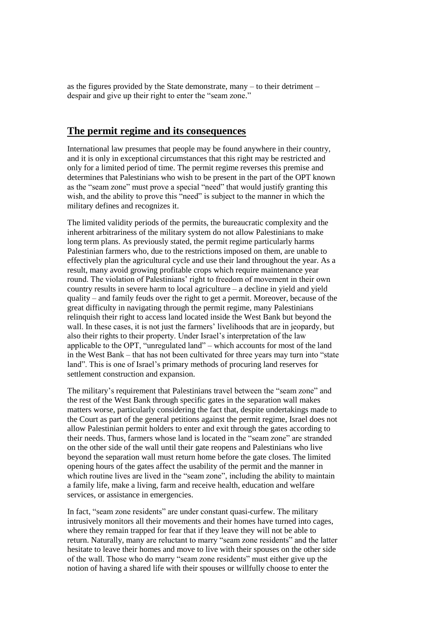as the figures provided by the State demonstrate, many – to their detriment – despair and give up their right to enter the "seam zone."

#### **The permit regime and its consequences**

International law presumes that people may be found anywhere in their country, and it is only in exceptional circumstances that this right may be restricted and only for a limited period of time. The permit regime reverses this premise and determines that Palestinians who wish to be present in the part of the OPT known as the "seam zone" must prove a special "need" that would justify granting this wish, and the ability to prove this "need" is subject to the manner in which the military defines and recognizes it.

The limited validity periods of the permits, the bureaucratic complexity and the inherent arbitrariness of the military system do not allow Palestinians to make long term plans. As previously stated, the permit regime particularly harms Palestinian farmers who, due to the restrictions imposed on them, are unable to effectively plan the agricultural cycle and use their land throughout the year. As a result, many avoid growing profitable crops which require maintenance year round. The violation of Palestinians' right to freedom of movement in their own country results in severe harm to local agriculture – a decline in yield and yield quality – and family feuds over the right to get a permit. Moreover, because of the great difficulty in navigating through the permit regime, many Palestinians relinquish their right to access land located inside the West Bank but beyond the wall. In these cases, it is not just the farmers' livelihoods that are in jeopardy, but also their rights to their property. Under Israel's interpretation of the law applicable to the OPT, "unregulated land" – which accounts for most of the land in the West Bank – that has not been cultivated for three years may turn into "state land". This is one of Israel's primary methods of procuring land reserves for settlement construction and expansion.

The military's requirement that Palestinians travel between the "seam zone" and the rest of the West Bank through specific gates in the separation wall makes matters worse, particularly considering the fact that, despite undertakings made to the Court as part of the general petitions against the permit regime, Israel does not allow Palestinian permit holders to enter and exit through the gates according to their needs. Thus, farmers whose land is located in the "seam zone" are stranded on the other side of the wall until their gate reopens and Palestinians who live beyond the separation wall must return home before the gate closes. The limited opening hours of the gates affect the usability of the permit and the manner in which routine lives are lived in the "seam zone", including the ability to maintain a family life, make a living, farm and receive health, education and welfare services, or assistance in emergencies.

In fact, "seam zone residents" are under constant quasi-curfew. The military intrusively monitors all their movements and their homes have turned into cages, where they remain trapped for fear that if they leave they will not be able to return. Naturally, many are reluctant to marry "seam zone residents" and the latter hesitate to leave their homes and move to live with their spouses on the other side of the wall. Those who do marry "seam zone residents" must either give up the notion of having a shared life with their spouses or willfully choose to enter the